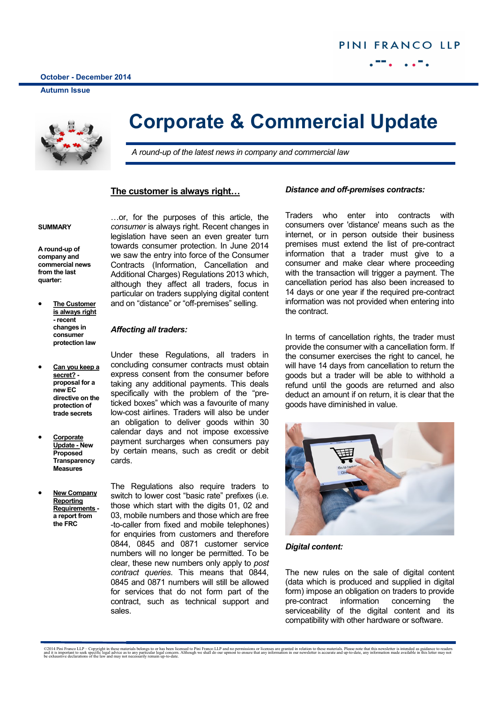ī

**Autumn Issue**



## **Corporate & Commercial Update**

*A round-up of the latest news in company and commercial law*

## **The customer is always right…**

### **SUMMARY**

**A round-up of company and commercial news from the last quarter:**

- **The Customer is always right - recent changes in consumer protection law**
- **Can you keep a secret? proposal for a new EC directive on the protection of trade secrets**
- **Corporate Update - New Proposed Transparency Measures**
- **New Company Reporting Requirements a report from the FRC**

…or, for the purposes of this article, the *consumer* is always right. Recent changes in legislation have seen an even greater turn towards consumer protection. In June 2014 we saw the entry into force of the Consumer Contracts (Information, Cancellation and Additional Charges) Regulations 2013 which, although they affect all traders, focus in particular on traders supplying digital content and on "distance" or "off-premises" selling.

## *Affecting all traders:*

Under these Regulations, all traders in concluding consumer contracts must obtain express consent from the consumer before taking any additional payments. This deals specifically with the problem of the "preticked boxes" which was a favourite of many low-cost airlines. Traders will also be under an obligation to deliver goods within 30 calendar days and not impose excessive payment surcharges when consumers pay by certain means, such as credit or debit cards.

The Regulations also require traders to switch to lower cost "basic rate" prefixes (i.e. those which start with the digits 01, 02 and 03, mobile numbers and those which are free -to-caller from fixed and mobile telephones) for enquiries from customers and therefore 0844, 0845 and 0871 customer service numbers will no longer be permitted. To be clear, these new numbers only apply to *post contract queries*. This means that 0844, 0845 and 0871 numbers will still be allowed for services that do not form part of the contract, such as technical support and sales.

## *Distance and off-premises contracts:*

Traders who enter into contracts with consumers over 'distance' means such as the internet, or in person outside their business premises must extend the list of pre-contract information that a trader must give to a consumer and make clear where proceeding with the transaction will trigger a payment. The cancellation period has also been increased to 14 days or one year if the required pre-contract information was not provided when entering into the contract.

In terms of cancellation rights, the trader must provide the consumer with a cancellation form. If the consumer exercises the right to cancel, he will have 14 days from cancellation to return the goods but a trader will be able to withhold a refund until the goods are returned and also deduct an amount if on return, it is clear that the goods have diminished in value.



*Digital content:*

The new rules on the sale of digital content (data which is produced and supplied in digital form) impose an obligation on traders to provide pre-contract information concerning the serviceability of the digital content and its compatibility with other hardware or software.

<sup>©2014</sup> Pini Franco LLP – Copyright in these materials belongs to or has been licensed to Pini Franco LLP and no permissions or licenses are granted in relation to these materials. Please note that this newsletter is intende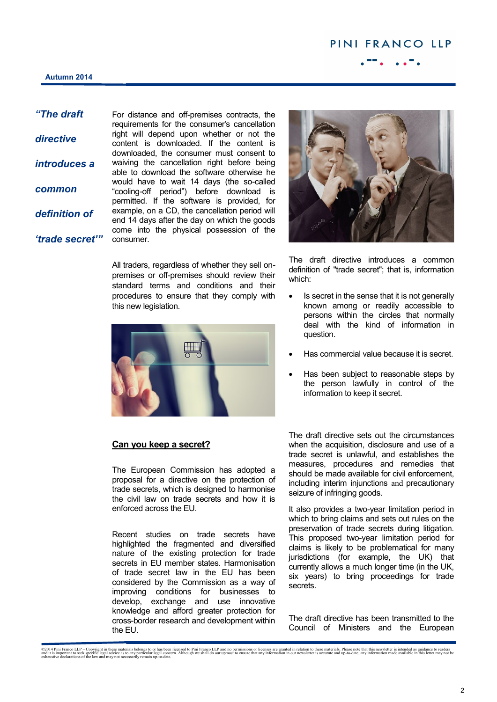## **Autumn 2014**

*"The draft* 

*directive introduces a common definition of* 

*'trade secret'"*

For distance and off-premises contracts, the requirements for the consumer's cancellation right will depend upon whether or not the content is downloaded. If the content is downloaded, the consumer must consent to waiving the cancellation right before being able to download the software otherwise he would have to wait 14 days (the so-called "cooling-off period") before download is permitted. If the software is provided, for example, on a CD, the cancellation period will end 14 days after the day on which the goods come into the physical possession of the consumer.

All traders, regardless of whether they sell onpremises or off-premises should review their standard terms and conditions and their procedures to ensure that they comply with this new legislation.



## **Can you keep a secret?**

The European Commission has adopted a proposal for a directive on the protection of trade secrets, which is designed to harmonise the civil law on trade secrets and how it is enforced across the EU.

Recent studies on trade secrets have highlighted the fragmented and diversified nature of the existing protection for trade secrets in EU member states. Harmonisation of trade secret law in the EU has been considered by the Commission as a way of improving conditions for businesses to develop, exchange and use innovative knowledge and afford greater protection for cross-border research and development within the EU.



The draft directive introduces a common definition of "trade secret"; that is, information which:

- Is secret in the sense that it is not generally known among or readily accessible to persons within the circles that normally deal with the kind of information in question.
- Has commercial value because it is secret.
- Has been subject to reasonable steps by the person lawfully in control of the information to keep it secret.

The draft directive sets out the circumstances when the acquisition, disclosure and use of a trade secret is unlawful, and establishes the measures, procedures and remedies that should be made available for civil enforcement, including interim injunctions and precautionary seizure of infringing goods.

It also provides a two-year limitation period in which to bring claims and sets out rules on the preservation of trade secrets during litigation. This proposed two-year limitation period for claims is likely to be problematical for many jurisdictions (for example, the UK) that currently allows a much longer time (in the UK, six years) to bring proceedings for trade secrets.

The draft directive has been transmitted to the Council of Ministers and the European

<sup>©2014</sup> Pini Franco LLP – Copyright in these materials belongs to or has been licensed to Pini Franco LLP and no permissions or licenses are granted in relation to these materials. Please note that this newsletter is intende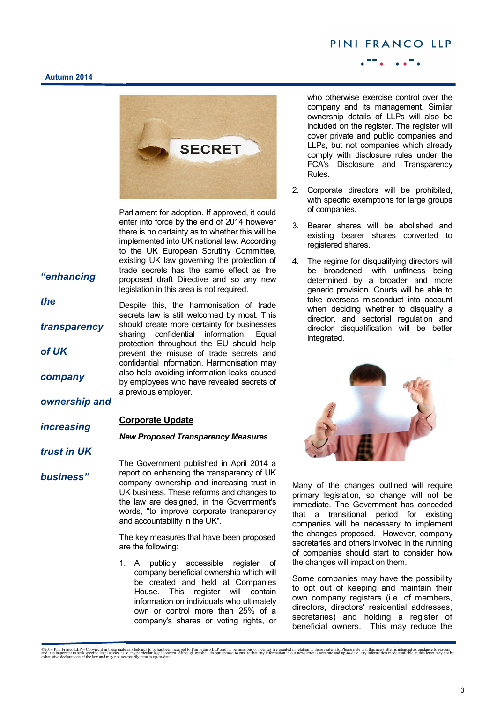## PINI FRANCO LLP

### **Autumn 2014**



Parliament for adoption. If approved, it could enter into force by the end of 2014 however there is no certainty as to whether this will be implemented into UK national law. According to the UK European Scrutiny Committee, existing UK law governing the protection of trade secrets has the same effect as the proposed draft Directive and so any new legislation in this area is not required.

Despite this, the harmonisation of trade secrets law is still welcomed by most. This should create more certainty for businesses sharing confidential information. Equal protection throughout the EU should help prevent the misuse of trade secrets and confidential information. Harmonisation may also help avoiding information leaks caused by employees who have revealed secrets of

a previous employer.

*"enhancing* 

*the* 

*transparency* 

*of UK* 

*company* 

*ownership and* 

#### **Corporate Update** *increasing*

*trust in UK* 

*business"*

The Government published in April 2014 a report on enhancing the transparency of UK company ownership and increasing trust in UK business. These reforms and changes to the law are designed, in the Government's words, "to improve corporate transparency and accountability in the UK".

*New Proposed Transparency Measures*

The key measures that have been proposed are the following:

1. A publicly accessible register of company beneficial ownership which will be created and held at Companies House. This register will contain information on individuals who ultimately own or control more than 25% of a company's shares or voting rights, or

who otherwise exercise control over the company and its management. Similar ownership details of LLPs will also be included on the register. The register will cover private and public companies and LLPs, but not companies which already comply with disclosure rules under the FCA's Disclosure and Transparency Rules.

- 2. Corporate directors will be prohibited, with specific exemptions for large groups of companies.
- 3. Bearer shares will be abolished and existing bearer shares converted to registered shares.
- 4. The regime for disqualifying directors will be broadened, with unfitness being determined by a broader and more generic provision. Courts will be able to take overseas misconduct into account when deciding whether to disqualify a director, and sectorial regulation and director disqualification will be better integrated.



Many of the changes outlined will require primary legislation, so change will not be immediate. The Government has conceded that a transitional period for existing companies will be necessary to implement the changes proposed. However, company secretaries and others involved in the running of companies should start to consider how the changes will impact on them.

Some companies may have the possibility to opt out of keeping and maintain their own company registers (i.e. of members, directors, directors' residential addresses, secretaries) and holding a register of beneficial owners. This may reduce the

<sup>©2014</sup> Pini Franco LLP – Copyright in these materials belongs to or has been licensed to Pini Franco LLP and no permissions or licenses are granted in relation to these materials. Please note that this newsletter is intende